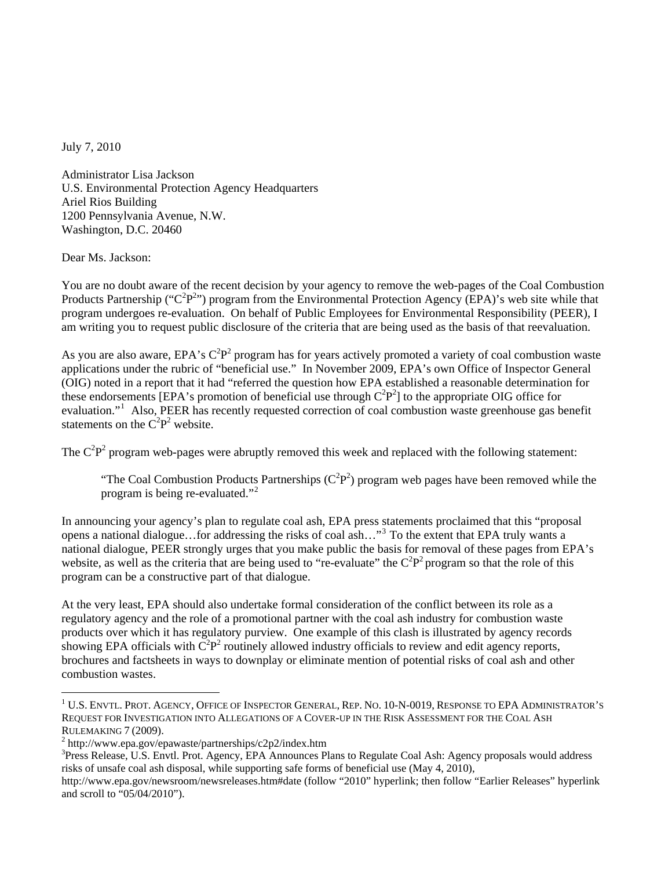July 7, 2010

Administrator Lisa Jackson U.S. Environmental Protection Agency Headquarters Ariel Rios Building 1200 Pennsylvania Avenue, N.W. Washington, D.C. 20460

Dear Ms. Jackson:

 $\overline{a}$ 

You are no doubt aware of the recent decision by your agency to remove the web-pages of the Coal Combustion Products Partnership (" $C^2P^{2\nu}$ ) program from the Environmental Protection Agency (EPA)'s web site while that program undergoes re-evaluation. On behalf of Public Employees for Environmental Responsibility (PEER), I am writing you to request public disclosure of the criteria that are being used as the basis of that reevaluation.

As you are also aware, EPA's  $C^2P^2$  program has for years actively promoted a variety of coal combustion waste applications under the rubric of "beneficial use." In November 2009, EPA's own Office of Inspector General (OIG) noted in a report that it had "referred the question how EPA established a reasonable determination for these endorsements [EPA's promotion of beneficial use through  $C^2P^2$ ] to the appropriate OIG office for evaluation."<sup>[1](#page-0-0)</sup> Also, PEER has recently requested correction of coal combustion waste greenhouse gas benefit statements on the  $C^2P^2$  website.

The  $C^2P^2$  program web-pages were abruptly removed this week and replaced with the following statement:

"The Coal Combustion Products Partnerships  $(C^2P^2)$  program web pages have been removed while the program is being re-evaluated."<sup>[2](#page-0-1)</sup>

In announcing your agency's plan to regulate coal ash, EPA press statements proclaimed that this "proposal opens a national dialogue…for addressing the risks of coal ash…"[3](#page-0-2) To the extent that EPA truly wants a national dialogue, PEER strongly urges that you make public the basis for removal of these pages from EPA's website, as well as the criteria that are being used to "re-evaluate" the  $C^2P^2$  program so that the role of this program can be a constructive part of that dialogue.

At the very least, EPA should also undertake formal consideration of the conflict between its role as a regulatory agency and the role of a promotional partner with the coal ash industry for combustion waste products over which it has regulatory purview. One example of this clash is illustrated by agency records showing EPA officials with  $\overline{C}^2P^2$  routinely allowed industry officials to review and edit agency reports, brochures and factsheets in ways to downplay or eliminate mention of potential risks of coal ash and other combustion wastes.

<span id="page-0-0"></span> $^1$  U.S. Envtl. Prot. Agency, Office of Inspector General, Rep. No. 10-N-0019, Response to EPA Administrator's REQUEST FOR INVESTIGATION INTO ALLEGATIONS OF A COVER-UP IN THE RISK ASSESSMENT FOR THE COAL ASH RULEMAKING 7 (2009). 2

<span id="page-0-1"></span> $2$  http://www.epa.gov/epawaste/partnerships/c2p2/index.htm

<span id="page-0-2"></span><sup>&</sup>lt;sup>3</sup>Press Release, U.S. Envtl. Prot. Agency, EPA Announces Plans to Regulate Coal Ash: Agency proposals would address risks of unsafe coal ash disposal, while supporting safe forms of beneficial use (May 4, 2010),

http://www.epa.gov/newsroom/newsreleases.htm#date (follow "2010" hyperlink; then follow "Earlier Releases" hyperlink and scroll to "05/04/2010").